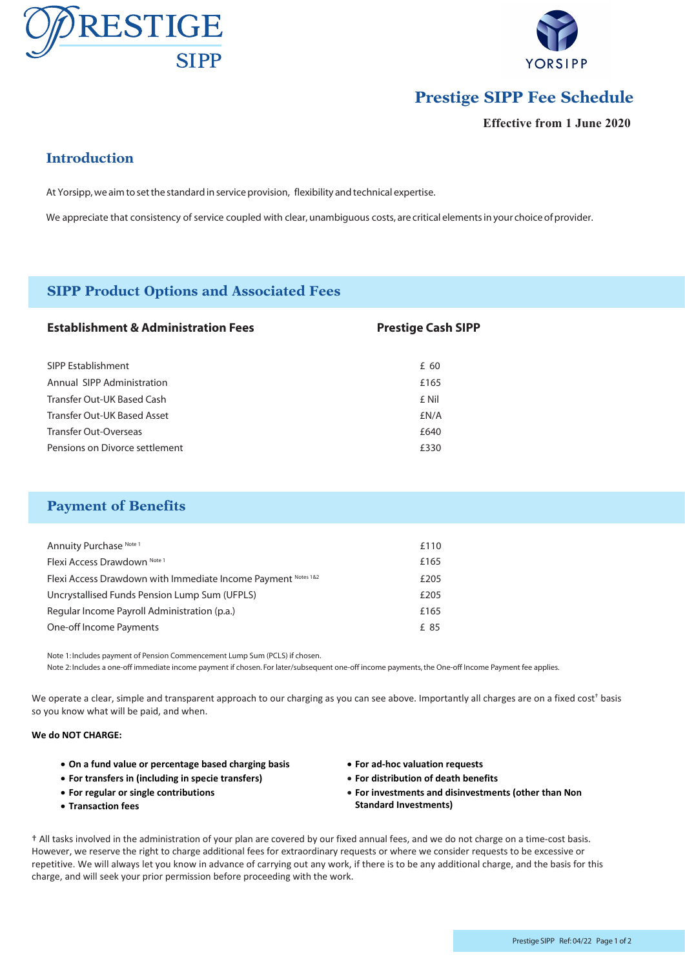



# **Prestige SIPP Fee Schedule**

**Effective from 1 June 2020**

## **Introduction**

At Yorsipp, we aim to set the standard in service provision, flexibility and technical expertise.

We appreciate that consistency of service coupled with clear, unambiguous costs, are critical elements in your choice of provider.

### **SIPP Product Options and Associated Fees**

| <b>Establishment &amp; Administration Fees</b> | <b>Prestige Cash SIPP</b> |
|------------------------------------------------|---------------------------|
| SIPP Establishment                             | £ 60                      |
| Annual SIPP Administration                     | £165                      |
| Transfer Out-UK Based Cash                     | £ Nil                     |
| Transfer Out-UK Based Asset                    | £N/A                      |
| Transfer Out-Overseas                          | £640                      |
| Pensions on Divorce settlement                 | £330                      |

### **Payment of Benefits**

| Annuity Purchase Note 1                                       | £110 |
|---------------------------------------------------------------|------|
| Flexi Access Drawdown Note 1                                  | £165 |
| Flexi Access Drawdown with Immediate Income Payment Notes 1&2 | £205 |
| Uncrystallised Funds Pension Lump Sum (UFPLS)                 | £205 |
| Regular Income Payroll Administration (p.a.)                  | £165 |
| One-off Income Payments                                       | £ 85 |

Note 1: Includes payment of Pension Commencement Lump Sum (PCLS) if chosen. Note 2: Includes a one-off immediate income payment if chosen. For later/subsequent one-off income payments, the One-off Income Payment fee applies.

We operate a clear, simple and transparent approach to our charging as you can see above. Importantly all charges are on a fixed cost<sup>+</sup> basis so you know what will be paid, and when.

#### **We do NOT CHARGE:**

- **On a fund value or percentage based charging basis**
- **For transfers in (including in specie transfers)**
- **For regular or single contributions**
- **Transaction fees**
- **For ad-hoc valuation requests**
- **For distribution of death benefits**
- **For investments and disinvestments (other than Non Standard Investments)**

† All tasks involved in the administration of your plan are covered by our fixed annual fees, and we do not charge on a time-cost basis. However, we reserve the right to charge additional fees for extraordinary requests or where we consider requests to be excessive or repetitive. We will always let you know in advance of carrying out any work, if there is to be any additional charge, and the basis for this charge, and will seek your prior permission before proceeding with the work.